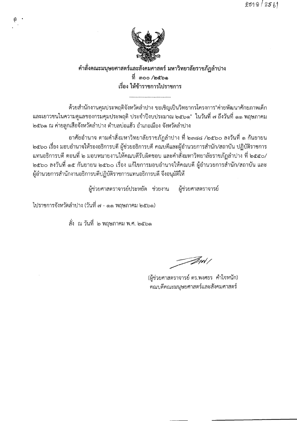

#### คำสั่งคณะมนุษยศาสตร์และสังคมศาสตร์ มหาวิทยาลัยราชภัฏลำปาง ที่ ๓๐๐ /๒๕๖๑ เรื่อง ให้ข้าราชการไปราชการ

ด้วยสำนักงานคุมประพฤติจังหวัดลำปาง ขอเชิญเป็นวิทยากรโครงการ"ค่ายพัฒนาศักยภาพเด็ก และเยาวชนในความดูแลของกรมคุมประพฤติ ประจำปีงบประมาณ ๒๕๖๑" ในวันที่ ๗ ถึงวันที่ ๑๑ พฤษภาคม ่ ๒๕๖๑ ณ ค่ายลูกเสือจังหวัดลำปาง ตำบลบ่อแฮ้ว อำเภอเมือง จังหวัดลำปาง

้อาศัยอำนาจ ตามคำสั่งมหาวิทยาลัยราชภัฏลำปาง ที่ ๒๓๘๘ /๒๕๖๐ ลงวันที่ ๑ กันยายน ๒๕๖๐ เรื่อง มอบอำนาจให้รองอธิการบดี ผู้ช่วยอธิการบดี คณบดีและผู้อำนวยการสำนัก/สถาบัน ปฏิบัติราชการ แทนอธิการบดี ตอนที่ ๒ มอบหมายงานให้คณบดีรับผิดชอบ และคำสั่งมหาวิทยาลัยราชภัฏลำปาง ที่ ๒๕๕๐/ ๒๕๖๐ ลงวันที่ ๑๕ กันยายน ๒๕๖๐ เรื่อง แก้ไขการมอบอำนาจให้คณบดี ผู้อำนวยการสำนัก/สถาบัน และ ผู้อำนวยการสำนักงานอธิการบดีปฏิบัติราชการแทนอธิการบดี จึงอนุมัติให้

ผู้ช่วยศาสตราจารย์ประหยัด ช่วยงาน ผู้ช่วยศาสตราจารย์

ไปราชการจังหวัดลำปาง (วันที่ ๗ - ๑๑ พฤษภาคม ๒๕๖๑)

สั่ง ณ วันที่ ๒ พฤษภาคม พ.ศ. ๒๕๖๑

*F*ant /

(ผู้ช่วยศาสตราจารย์ ดร.พงศธร คำใจหนัก) คณบดีคณะมนุษยศาสตร์และสังคมศาสตร์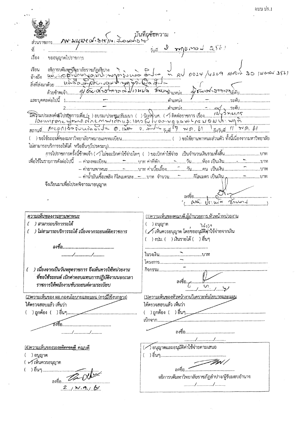| คพ มนุมา 6 ประชาน : 3 ตามา 5 นาร์ ยาวาม                                     |                                                                                                         |
|-----------------------------------------------------------------------------|---------------------------------------------------------------------------------------------------------|
| ที                                                                          | rig d'inglement 2561                                                                                    |
| เรื่อง<br>ขออนุญาตไปราชการ                                                  |                                                                                                         |
| เรียน<br>อ้างถึง<br>สิ่งที่ส่งมาด้วย<br>$\frac{1}{\phi}$                    |                                                                                                         |
|                                                                             |                                                                                                         |
|                                                                             |                                                                                                         |
|                                                                             |                                                                                                         |
|                                                                             |                                                                                                         |
|                                                                             |                                                                                                         |
|                                                                             |                                                                                                         |
|                                                                             | -- ค่ายานพาหนะบาท ค่าเบี้ยเลี้ยงวันคน เป็นเงินบาท                                                       |
|                                                                             | -- ค่าน้ำมันเชื้อเพลิง กิโลเมตรละ <del></del> บาท  จำนวน <del></del> กิโลเมตร เป็นเงิน <sub>ก</sub> บาท |
| จึงเรียนมาเพื่อโปรดพิจารณาอนุญาต                                            |                                                                                                         |
|                                                                             |                                                                                                         |
|                                                                             |                                                                                                         |
| <u> ความเห็นของงานยานพาหนะ</u>                                              | <u>(1)ความเห็นของคณบดี,ผู้อำนวยการ,หัวหน้าหน่วยงาน</u>                                                  |
| ) สามารถบริการรถได้                                                         | ) อนุญาต<br>7150                                                                                        |
| ) ไม่สามารถบริการรถได้ เนื่องจากรถยนต์ติดราชการ                             | ( / เห็นควรอนุญาต โดยขออนุมัติค่าใช้จ่ายจากเงิน<br>) งปม. (    ) เงินรายได้ (    ) อื่นๆ                |
|                                                                             |                                                                                                         |
| //                                                                          |                                                                                                         |
|                                                                             |                                                                                                         |
| (   ) เนื่องจากเป็นวันหยุดราชการ จึงเห็นควรให้หน่วยงาน                      |                                                                                                         |
| ที่ขอใช้รถยนต์ เบิกค่าตอบแทนการปฏิบัติงานนอกเวลา                            |                                                                                                         |
| ราชการให้พนักงานขับรถยนต์ตามระเบียบ                                         |                                                                                                         |
|                                                                             | <u>(3)ความเห็นของหัวหน้างานวิเคราะห์นโยบายและแผน</u>                                                    |
| (2)ความเห็นของ ผอ กองนโยบายและแผน (กรณีใช้งบกลาง)<br>ได้ตรวจสอบแล้ว เห็นว่า | ได้ตรวจสอบแล้ว เห็นว่า                                                                                  |
|                                                                             |                                                                                                         |
|                                                                             | เบิกจาก                                                                                                 |
|                                                                             |                                                                                                         |
|                                                                             |                                                                                                         |
|                                                                             | //                                                                                                      |
| <u>(4)ความเห็นของรอง<del>อธิการบุ</del>ดี</u> คณบดี                         | ้อนุญาตและอนุมัติค่าใช้จ่ายตามเสนอ                                                                      |
| ) อนุญาต                                                                    |                                                                                                         |
| ( レ) เห็นควรอนุญาต                                                          |                                                                                                         |
| ) อื่นๆ                                                                     |                                                                                                         |
| $\mathbb{Z}$ $\mathbb{Z}$ $\mathbb{C}$                                      | อธิการบดีมหาวิทยาลัยราชภัฏลำปาง/ผู้รับมอบอำนาจ                                                          |
| 2, w.9, b1                                                                  | //                                                                                                      |
|                                                                             |                                                                                                         |

แบบ ปร.1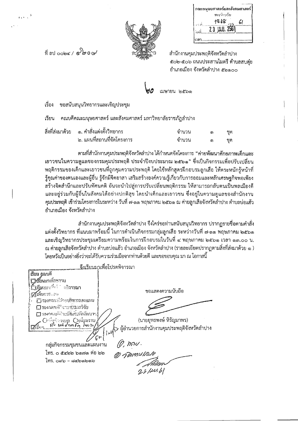| กณะมนุษยศาสตร์และสังคมศาสตร์       |
|------------------------------------|
| ทะเพียนวัน                         |
| $1868$ 61<br>$\sim$ $\frac{1}{10}$ |
| $23$ J.W.U. 2561                   |
|                                    |



ที่ ลป  $\cot \theta$  ( $\cos \theta$ ) ขอ

.<br>. . . .

สำนักงานคุมประพฤติจังหวัดลำปาง ๕๐๒-๕๐๖ ถนนประสานไมตรี ตำบลสบตุ๋ย อำเภอเมือง จังหวัดลำปาง ๕๒๑๐๐

เมษายน ๒๕๖๑

#### เรื่อง ขอสนับสนุนวิทยากรและเชิญประชุม

เรียน ิคณบดีคณะมนุษยศาสตร์ และสังคมศาสตร์ มหาวิทยาลัยราชภัฏลำปาง

| สิ่งที่ส่งมาด้วย ๑. คำสั่งแต่งตั้งวิทยากร | จำนวน | ග | ชด |
|-------------------------------------------|-------|---|----|
| ่ ๒. แผนที่สถานที่จัดโครงการ              | จำนวน |   | ชด |

ตามที่สำนักงานคุมประพฤติจังหวัดลำปาง ได้กำหนดจัดโครงการ "ค่ายพัฒนาศักยภาพเด็กและ เยาวชนในความดูแลของกรมคุมประพฤติ ประจำปีงบประมาณ ๒๕๖๑" ซึ่งเป็นกิจกรรมเพื่อปรับเปลี่ยน พฤติกรรมของเด็กและเยาวชนที่ถูกคุมความประพฤติ โดยใช้หลักสูตรฝึกอบรมลูกเสือ ให้ตระหนักรู้หน้าที่ รู้คุณค่าของตนเองและผู้อื่น รู้จักมีจิตอาสา เสริมสร้างองค์ความรู้เกี่ยวกับการออมและหลักเศรษฐกิจพอเพียง สร้างจิตสำนึกและปรับทัศนคติ อันจะนำไปสู่การปรับเปลี่ยนพฤติกรรม ให้สามารถกลับตนเป็นพลเมืองดี ี และอยู่ร่วมกับผู้อื่นในสังคมได้อย่างปกติสุข โดยนำเด็กและเยาวชน ซึ่งอยู่ในความดูแลของสำนักงาน ้คุมประพฤติ เข้าร่วมโครงการในระหว่าง วันที่ ๗-๑๑ พฤษภาคม ๒๕๖๑ ณ ค่ายลูกเสือจังหวัดลำปาง ตำบลบ่อแฮ้ว อำเภอเมือง จังหวัดลำปาง

้สำนักงานคุมประพฤติจังหวัดลำปาง จึงใคร่ขอท่านสนับสนุนวิทยากร ปรากฏรายชื่อตามคำสั่ง แต่งตั้งวิทยากร ที่แนบมาพร้อมนี้ ในการดำเนินกิจกรรมกลุ่มลูกเสือ ระหว่างวันที่ ๗-๑๑ พฤษภาคม ๒๕๖๑ และเชิญวิทยากรประชุมเตรียมความพร้อมในการฝึกอบรมในวันที่ ๔ พฤษภาคม ๒๕๖๑ เวลา ๑๓.๐๐ น. ุณ ค่ายลูกเสือจังหวัดลำปาง ตำบลบ่อแฮ้ว อำเภอเมือง จังหวัดลำปาง (รายละเอียดปรากฏตามสิ่งที่ส่งมาด้วย ๑ ) โดยหวังเป็นอย่างยิ่งว่าจะได้รับความร่วมมือจากท่านด้วยดี และขอขอบคุณ มา ณ โอกาสนี้

ลึงเรียบมาเพื่อโปรดพิจารณา เรียน คณบดี **Delin**ansionan ์ใ**เรีย**นมาเ<sup>ตื่อวั∵⊸ติจ**ารณา**</sup> ขอแสดงความนับถือ **ไ2้เห็นการ.** อย I รองคณบดีผิวระบริหารและแผน □ รองกลมเดือยาการสะเขาิจัย ่⊟ รองคณต์ฝ่ายหิจิตรัวมักคีกเขาร (นายยุทธพงษ์ หิรัญมาพร) ↑ ผู้อำนวยการสำนักงานคุมประพฤติจังหวัดลำปาง ا سي  $\mathscr{D}$ , how. กลุ่มกิจกรรมชุมชนและแผนงาน โทร. ๐ ๕๔๒๒ ๖๑๗๑ ต่อ ๒๒ (D) SMAWS WOL  $\mathfrak{z}_{\mathfrak{N}}$  , and  $\mathfrak{p}_{\mathfrak{N}}$  , and  $\mathfrak{p}_{\mathfrak{N}}$ 23/20168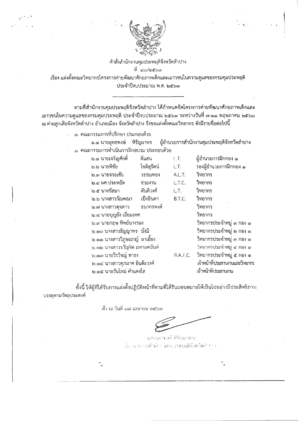

คำสั่งลำนักงานคุมประพฤติจังหวัดลำปาง ที่ ๔๐/๒๕๖๑ ้เรื่อง แต่งตั้งคณะวิทยากรโครงการค่ายพัฒนาศักยภาพเด็กและเยาวชนในความดูแลของกรมคุมประพฤติ ประจำปีงบประมาณ พ.ศ. ๒๕๖๑

ิตามที่สำนักงานคุมประพฤติจังหวัดลำปาง ได้กำหนดจัดโครงการค่ายพัฒนาศักยภาพเด็กและ ูเยาวชนในความดูแลของกรมคุมประพฤติ ประจำปีงบประมาณ ๒๕๖๑ ระหว่างวันที่ ๗-๑๑ พฤษภาคม ๒๕๖๑ ่ ณ ค่ายลูกเสือจังหวัดลำปาง อำเภอเมือง จังหวัดลำปาง จึงขอแต่งตั้งคณะวิทยากร ดังมีรายชื่อต่อไปนี้

๑. คณะกรรมการที่ปรึกษา ประกอบด้วย

๑.๑ นายยทธพงษ์ หิรัญมาพร ผู้อำนวยการสำนักงานคุมประพฤติจังหวัดลำปาง ้อ. คณะกรรมการดำเนินการฝึกอบรม ประกอบด้วย

> ๒.๑ นายเจริญศักดิ์ ผู้อำนวยการฝึกกอง ๑ ดีแสน  $1.7.$ โซติสุรัตน์ รองผู้อำนวยการฝึกกอง ๑ ๒.๒ นายพิชัย L.T. ไค.๓ นายจรณชัย วรรณทอง A.L.T. วิทยากร ๒.๔ ผศ.ประหยัด ช่วยงาน วิทยากร L.T.C. ๒.๕ นางขัสมา ตันติวงศ์ วิทยากร L.T. ๒.๖ นางสาววัณฑณา เป็งอินตา B.T.C. วิทยากร ๒.๗ นางสาวดุจดาว ธนากรพงศ์ วิทยากร ๒.๘ นายบุญยัง เอี๋ยมเทศ วิทยากร ๒.๙ นายกถษ ทิพย์นางรอง วิทยากรประจำหมู่ ๑ กอง ๑ lo.๑๐ นางสาวธัญญาพร มั่งมี วิทยากรประจำหมู่ ๒ กอง ๑ l๒.๑๑ นางสาววิภูษณาญ์ ถาเอี้ยง วิทยากรประจำหมู่ ๓ กอง ๑ ๒.๑๒ นางสาวขาัญจิต มหายศนันท์ วิทยากรประจำหมู่ ๔ กอง ๑ ว็ทยากรประจำหมู่ ๕ กอง ๑ ๒.๑๓ นายวีรวิชญ์ ทาธง R.A.T.C. ๒.๑๔ นางสาวศุภมาศ อินตัะวงค์ เจ้าหน้าที่ประสานงานและวิทยากร <u>lo ด๕ นายวันใหม่ คำแดงใส</u> เจ้าหน้าที่ประสานงาน

้ทั้งนี้ ให้ผู้ที่ได้รับการแต่งตั้งปฏิบัติหน้าที่ตามที่ได้รับมอบหมายให้เป็นไปอย่างมีประสิทธิภาพ บรรลตามวัตถุประสงค์

์สั่ง ณ วันที่ ๑๘ เมษายน ๒๕๖๑

นายองทางเปล่าดีรับมากกาง นั้น เน่นมหานสำนักงานคนเอระทฤติจังหวัดเกิดตัว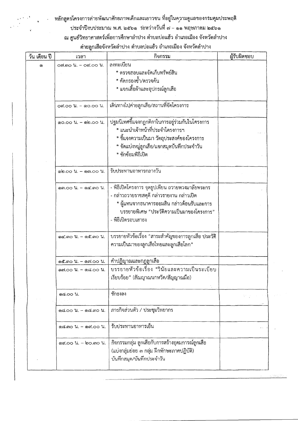# หลักสูตรโครงการค่ายพัฒนาศักยภาพเด็กและเยาวชน ที่อยู่ในความดูแลของกรมคุมประพฤติ

# ประจำปีงบประมาณ พ.ศ. ๒๕๖๑ ระหว่างวันที่ ๗ - ๑๑ พฤษภาคม ๒๕๖๑

# ณ ศูนย์วิทยาศาสตร์เพื่อการศึกษาลำปาง ตำบลบ่อแฮ้ว อำเภอเมือง จังหวัดลำปาง

#### ค่ายลูกเสือจังหวัดลำปาง ตำบลบ่อแฮ้ว อำเภอเมือง จังหวัดลำปาง

| วัน เดือน ปี | เวลา                                          | กิจกรรม                                                                                                                                                                                                       | ผู้รับผิดชอบ |
|--------------|-----------------------------------------------|---------------------------------------------------------------------------------------------------------------------------------------------------------------------------------------------------------------|--------------|
| G)           | on.mo 1. - od.oo 1.                           | ลงทะเบียน<br>* ตรวจสอบและจัดเก็บทรัพย์สิน<br>* คัดกรองช้ำ/ตรวจค้น<br>* แจกเสื้อผ้าและอุปกรณ์ลูกเสือ                                                                                                           |              |
|              | ox.oo u. - ๑๐.oo u.                           | เดินทางไปค่ายลูกเสือ/สถานที่จัดโครงการ                                                                                                                                                                        |              |
|              | ด0.00 น. - ด๒.00 น.                           | ปฐมนิเทศขี้แจงกฎกติกาในการอยู่ร่วมกันในโครงการ<br>* แนะนำเจ้าหน้าที่ประจำโครงการฯ<br>* ขี้แจงความเป็นมา วัตถุประสงค์ของโครงการ<br>* จัดแบ่งหมู่ลูกเสือ/แจกสมุดบันทึกประจำวัน<br>* ซักซ้อมพิธีเปิด             |              |
|              | ด๒.๐๐ น. - ๑๓.๐๐ น.                           | รับประทานอาหารกลางวัน                                                                                                                                                                                         |              |
|              | ดต.๐๐ น. - ๑๔.๓๐ น.                           | - พิธีเปิดโครงการ จุดธูปเทียน ถวายพวงมาลัยพระกร<br>- กล่าวถวายราชสดุดี กล่าวรายงาน กล่าวเปิด<br>* ผู้แทนจากธนาคารออมสิน กล่าวต้อนรับและการ<br>บรรยายพิเศษ "ประวัติความเป็นมาของโครงการ"<br>- พิธีเปิดรอบเสาธง |              |
|              | ด๔.๓๐ น. - ด๕.๓๐ น.                           | ้บรรยายหัวข้อเรื่อง "สาระสำคัญของการลูกเสือ ประวัติ<br>ความเป็นมาของลูกเสือไทยและลูกเสือโลก"                                                                                                                  |              |
|              | ด๕.๓๐ น. – ๑๗.๐๐ น.                           | คำปฏิญาณและกฎลูกเสือ                                                                                                                                                                                          |              |
|              | ด๗.๐๐ น. - ด๘.๐๐ น.                           | บรรยายหัวข้อเรื่อง "วินัยและความเป็นระเบียบ<br>เรียบร้อย" (สัณญาณนกหวีด/สัญญาณมือ)                                                                                                                            |              |
|              | ด๘.oo น.                                      | ชักธงลง                                                                                                                                                                                                       |              |
|              | ด๘.๐๐ น. - ด๘.๓๐ น.                           | ภารกิจส่วนตัว / ประชุมวิทยากร                                                                                                                                                                                 |              |
|              | $\sigma$ ಡ.៣೦ $\mu$ . – $\sigma$ ನ.೦೦ $\mu$ . | รับประทานอาหารเย็น                                                                                                                                                                                            |              |
|              | $\alpha$ ,00 $\mu$ . – bo. $\alpha$ 0 $\mu$ . | กิจกรรมกลุ่ม ลูกเสือกับการสร้างอุดมการณ์ลูกเสือ<br>(แบ่งกลุ่มย่อย ๓ กลุ่ม ฝึกทักษะภาคปฏิบัติ)<br>บันทึกสมุด/บันทึกประจำวัน                                                                                    |              |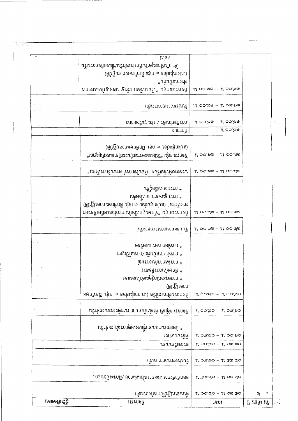| เพิ่มราหาอาทารเข้า                                                              | $OP$ $CCE$ $H - OW$ $UQ$             |  |
|---------------------------------------------------------------------------------|--------------------------------------|--|
|                                                                                 |                                      |  |
| หลังอบเสาธง<br>นอนนอยิงคร                                                       | סטן שוס $n - \infty$ יסס ה'          |  |
| * วิทยากรภายนอกขึ้นจงเพดุการณ์ประจำวัน                                          | $H$ om, bo – $H$ oo, bo              |  |
| กิจกรรมกลุ่มสัมพันธ์/นันทนาการ/คติธรรมประจำวัน                                  | $\alpha$ ະແດ $\eta$ : – ດແຕວດ $\eta$ |  |
| กิจกรรมทักษะชีวิต (แบ่งกลุ่มย่อย ๓ กลุ่ม ฝึกทักษะ                               | .u 00.do - .u 00.00                  |  |
| * ความพรมที่กุลเกินที่ไม่ตนเอง<br>เขายกุบู้มูน)                                 |                                      |  |
| * ทักษะในการสื่อสาร                                                             |                                      |  |
| ้แนะกอบการที่บอารมณ์                                                            |                                      |  |
| ิ คษริคมเกรศากดดัิยกา *<br>* กหนูปังเวนในพื้นปีมาโกรเทินที่                     |                                      |  |
|                                                                                 |                                      |  |
| ้นไขกลกรางทารการ                                                                | $W$ oo.me - $W$ oo.de                |  |
| ้ กิจกรรมกลุ่ม "มักษะลูกเสื้อกับการช่วยเหลือเยี่ยวยา                            | $\mu$ oo.do - $\mu$ oo.mo            |  |
| * การปฐมพยาบาลเบิ้ยสตัน<br>ทางสังคม" (แบ่งกลุ่มย่อย ๓ กลุ่ม ฝึกทักษะภาคปฏิบัติ) |                                      |  |
| * การข่ายเหลือผู้อื่น                                                           |                                      |  |
| าเรลยงกมัวข้อเรื่อง "เสื้อนไขการทำงานบริการสังคม"                               | $\eta$ oo $\mu$ - $\eta$ oo $\sigma$ |  |
| ไวจกรรมกลุ่ม "วูบัยและความเป็นระเบียบและสัญญาณ"                                 | $\mu$ oo.മര $-$ , $\mu$ oo.ശര        |  |
| (แบ่งกลุ่มย่อย ๓ กลุ่ม ฝึกทักษะภาคปฏิบัติ)                                      |                                      |  |
| มบะบูยนุบรนฟูว \ ภูะฉ์มบูมนาย<br>หิกธรกซิ                                       | $U$ රාංකල – .l $I$ රටකල<br>್ಕು ೦೦,ಎ⊚ |  |
| 7. กล่าย และ 1 กล่าย การ<br>พ.ศ. 1                                              | $H$ OO.ත@ – . $H$ Om.ත@              |  |
|                                                                                 |                                      |  |
| งงางกันนี้นี้มี<br>ปัจบรรมกลุ่ม "เรือนเขือก เข้าฐานผจญภัยและการ                 | $U$ oo.@@ – $U$ oo.ග@                |  |
| (แบ่งกลุ่มย่อย ๓ กลุ่ม ฝึกทักษะภาคปฏิบัติ)                                      |                                      |  |
| $M$ G $\approx$<br>> นันทึกสมุดบันทึกประจำวัน∕ขึ้แจงกิจกรรมวัน                  |                                      |  |

사용하고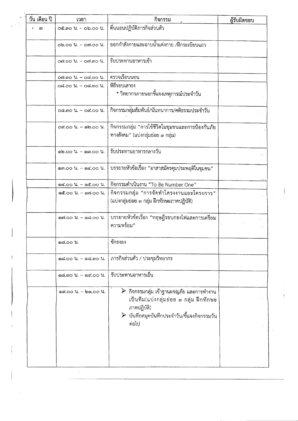| วัน เดือน ปี | เวลา                                           | กิจกรรม                                                                                                                                                                                      | ผู้รับผิดชอบ |
|--------------|------------------------------------------------|----------------------------------------------------------------------------------------------------------------------------------------------------------------------------------------------|--------------|
| ពា           | $O$ C. $O$ $U_1 - O$ $O$ $O$ $U_2$             | ตื่นนอนปฏิบัติภารกิจส่วนตัว                                                                                                                                                                  |              |
|              | $0$ $0.00$ $1. -0$ $0.00$ $1.$                 | ้ออกกำลังกายและอาบน้ำแต่งกาย /ฝึกระเบียบแถว                                                                                                                                                  |              |
|              | on.oo น. - on.mo น.                            | รับประทานอาหารเข้า                                                                                                                                                                           |              |
|              | on.mo 1. - od.oo 1.                            | ตรวจเรือนนอน                                                                                                                                                                                 |              |
|              | 06.00 1. - 06.00 1.                            | พิธีรอบเสาธง<br>* วิทยากรภายนอกขี้แจงเหตุการณ์ประจำวัน                                                                                                                                       |              |
|              | $0$ G. $00 \;$ $\mu$ . $ 0$ G. $00 \;$ $\mu$ . | กิจกรรมกลุ่มสัมพันธ์/นันทนาการ/คติธรรมประจำวัน                                                                                                                                               |              |
|              | $OK.00$ $U. - 00.00$ $U.$                      | กิจกรรมกลุ่ม "การใช้ชีวิตในชุมชนและการป้องกันภัย<br>ทางสังคม" (แบ่งกลุ่มย่อย ๓ กลุ่ม)                                                                                                        |              |
|              | ด๒.๐๐ น. - ดูต.๐๐ น.                           | รับประทานอาหารกลางวัน                                                                                                                                                                        |              |
|              | ดค.๐๐ น. - ด๔.๐๐ น.                            | บรรยายหัวข้อเรื่อง "อาสาสมัครคุมประพฤติในชุมชน"                                                                                                                                              |              |
|              | ด๔.๐๐ น. - ด๕.๐๐ น.                            | กิจกรรมดำเนินงาน "To Be Number One"                                                                                                                                                          |              |
|              | ด๕.๐๐ น. - ๑๗.๐๐ น.                            | กิจกรรมกลุ่ม "การจัดทำโครงงานและโครงการ"<br>(แบ่งกลุ่มย่อย ๓ กลุ่ม ฝึกทักษะภาคปฏิบัติ)                                                                                                       |              |
|              | ดฟ.oo น. - ด๘.oo น.                            | บรรยายหัวข้อเรื่อง "ทฤษฎีรอบกองไฟและการเตรียม<br>ความพร้อม"                                                                                                                                  |              |
|              | ด๘.๐๐ น.                                       | ชักธงลง                                                                                                                                                                                      |              |
|              | ด๘.๐๐ น. – ด๘.๓๐ น.                            | ภารกิจส่วนตัว / ประชุมวิทยากร                                                                                                                                                                |              |
|              |                                                | รับประทานอาหารเย็น                                                                                                                                                                           |              |
|              | ด๙.๐๐ น. - ๒๑.๐๐ น.                            | $\triangleright$ กิจกรรมกลุ่ม เข้าฐานผจญภัย และการทำงาน<br>เป็นทีม(แบ่งกลุ่มย่อย ๓ กลุ่ม ฝึกทักษะ<br>ภาคปฏิบัติ)<br>$\blacktriangleright$ บันทึกสมุดบันทึกประจำวัน/ขึ้นจงกิจกรรมวัน<br>ต่อไป |              |
|              |                                                |                                                                                                                                                                                              |              |
|              |                                                |                                                                                                                                                                                              |              |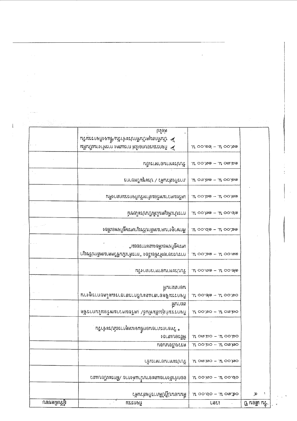|              | Ulgr                                              |                                                               |                   |
|--------------|---------------------------------------------------|---------------------------------------------------------------|-------------------|
|              | > บันทึกสมุดบันทึกประจำวัน/ขึ้นจงกิจกรรมวัน       |                                                               |                   |
|              | นพื้นบินการเทคลงการแสดง การทำงานเป็นพื้น          | $\mu$ റ $\circ$ . $\omega$ ം പ്രാ $\sim$ ധ                    |                   |
|              |                                                   |                                                               |                   |
|              | นิยากระมบรามประกู                                 | . $U \circ \circ \mathcal{S}$ @ – . $U \circ \mathcal{S}$ ಡಿ. |                   |
|              |                                                   |                                                               |                   |
|              | ิยบะบูยรุงหนูง \ ฦะะง์ทานเมน                      | .ಟಿ ೦೧೩,ಎ@ – .ಟಿ ೦೦.ಏ@                                        |                   |
|              |                                                   |                                                               |                   |
|              | เตรียมความพร้อมสำหรับกิจกรรมกลางคืน               | $\mu$ oo.be - .lf oo.be                                       |                   |
|              |                                                   |                                                               |                   |
|              | โทษมีระโนบี้มั่งในตูเห็นบำราก                     | $\eta_1 - \omega_0$ or $\eta_1 - \omega_0$                    |                   |
|              |                                                   |                                                               |                   |
|              | ศึกษาดุงานตามหลักปรัชญาเศรษฐกิจพอเพียง            | ್ಲಿ ೧೦.ರೂ – "ಶಾ.೦೦ $\mu$ .                                    |                   |
|              |                                                   |                                                               |                   |
|              | เศรคขึ้นงพอเพลงและการออม"                         |                                                               |                   |
|              | กรรณะยายหัวข้อเรื่อง "การดำเนินขีวิตตามหลักปรัชญา | $n$ סט הי $n - e$ פּליס הי $n$                                |                   |
|              |                                                   |                                                               |                   |
|              | ห้โยกลกราพาธิการใน                                | $\mu$ oo mo - $\mu$ oo do                                     |                   |
|              |                                                   |                                                               |                   |
|              | หนากลัก                                           |                                                               |                   |
|              | นิยมสมองสาเละบริการสาธารณะโดยการดูงาน             | $H$ 00.de - $H$ 00.50                                         |                   |
|              |                                                   |                                                               |                   |
|              | .แนเวย                                            | $\mu$ oo.so – $\mu$ om.so                                     |                   |
|              | ปิงกรรมก์สุ่มสัมพันธ์/ เตรียมความพร้อมในการจัด    |                                                               |                   |
|              |                                                   |                                                               |                   |
|              | * วิทยากรภายนอกขึ้นจงเหตุการณ์ประจำวัน            |                                                               |                   |
|              | หลีรอบเสาธร                                       | $H$ om.ao – $H$ oo.ao                                         |                   |
|              | ทดททดรูเอบระ                                      | $H$ 00,50 - $H$ 0m.100                                        |                   |
|              |                                                   |                                                               |                   |
|              | เพิ่มเทนตนแหะปนร                                  | $CH$ , $O$ $H$ , $ O$ $H$ , $O$                               |                   |
|              |                                                   |                                                               |                   |
|              | ออบบำสังกายและอาบน้ำแต่งกาย /ฝึกระเบียบแถว        | $\alpha$ oo $\mu$ - $\alpha$ oo $\alpha$                      |                   |
|              |                                                   |                                                               |                   |
|              | ที่นนอนปฏิบัติการกิจส่วนด้ว                       | $U$ oo.do - $U$ om.so                                         | ÷<br>⊅            |
| เผ็รับผิดขอบ | $\mathcal{L}^{\mathcal{L}}$<br>แระกดทิ            | LULI<br>$\sim$ 10 $\mu$                                       | ្រុ កេចធ្លា កក្កៈ |

 $\frac{1}{2} \left( \frac{1}{2} \right)$  ,  $\frac{1}{2} \left( \frac{1}{2} \right)$ 

 $\frac{1}{\sqrt{2}}$  $\frac{1}{2}$ 

 $\mathbf{I}$ 

 $\mathcal{L}^{\text{max}}_{\text{max}}$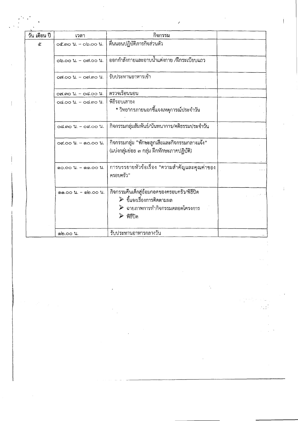| วัน เดือน ปี | เวลา                                    | กิจกรรม                                                                                                                                                               |  |
|--------------|-----------------------------------------|-----------------------------------------------------------------------------------------------------------------------------------------------------------------------|--|
| ڻخ           | oc.mo 1. - ob.oo 1.                     | ตื่นนอนปฏิบัติภารกิจส่วนตัว                                                                                                                                           |  |
|              | Ob.OO 11. – OVI.OO 11.                  | ้ออกกำลังกายและอาบน้ำแต่งกาย /ฝึกระเบียบแถว                                                                                                                           |  |
|              | $O(100 \text{ kg}) - O(100 \text{ kg})$ | รับประทานอาหารเช้า                                                                                                                                                    |  |
|              | osi.mo 1. - od.oo 1.                    | ตรวจเรือนนอน                                                                                                                                                          |  |
|              | 0d.00 ll. - 0d.mo ll.                   | พิธีรอบเสาธง<br>* วิทยากรภายนอกชี้แจงเหตุการณ์ประจำวัน                                                                                                                |  |
|              | $0.500$ $1.7000$ $1.7000$               | กิจกรรมกลุ่มสัมพันธ์/นันทนาการ/คติธรรมประจำวัน                                                                                                                        |  |
|              | od.oo น. - ดo.oo น.                     | กิจกรรมกลุ่ม "ทักษะลูกเสื้อและกิจกรรมกลางแจ้ง"<br>(แบ่งกลุ่มย่อย ๓ กลุ่ม ฝึกทักษะภาคปฏิบัติ)                                                                          |  |
|              | ดo.oo น. - ๑๑.oo น.                     | การบรรยายหัวข้อเรื่อง "ความสำคัญและคุณค่าของ<br>ครอบครัว"                                                                                                             |  |
|              | ดด.oo น. - ๑๒.oo น.                     | กิจกรรมคืนเด็กสู่อ้อมกอดของครอบครัว/พิธีปิด<br>$\triangleright$ ขี้แจงเรื่องการติดตามผล<br>$\triangleright$ ฉายภาพการทำกิจกรรมตลอดโครงการ<br>$\triangleright$ พิธีปิด |  |
|              | @ම.00 µ.                                | รับประทานอาหารกลางวัน                                                                                                                                                 |  |

 $\hat{\mathcal{L}}$ 

 $\overline{\phantom{a}}$ 

 $\frac{1}{2}$ 

 $\frac{1}{2}$ 

 $\mathbb{Z}_p$ 

 $\label{eq:3.1} \frac{1}{2} \left( \frac{1}{2} \frac{1}{2} \right) \frac{1}{2} \left( \frac{1}{2} \right)^2$ 

 $\Delta \phi$ 

 $\bar{z}$ 

 $\frac{1}{2}$